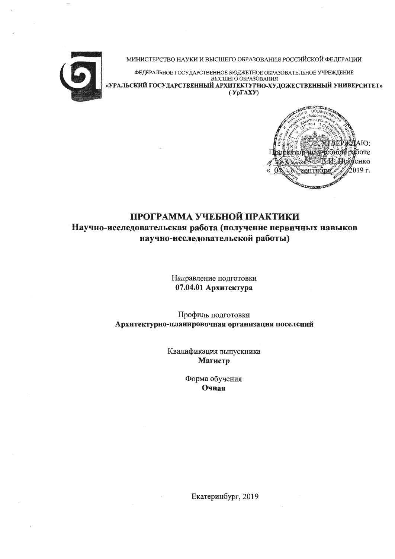

МИНИСТЕРСТВО НАУКИ И ВЫСШЕГО ОБРАЗОВАНИЯ РОССИЙСКОЙ ФЕДЕРАЦИИ

ФЕДЕРАЛЬНОЕ ГОСУДАРСТВЕННОЕ БЮДЖЕТНОЕ ОБРАЗОВАТЕЛЬНОЕ УЧРЕЖДЕНИЕ ВЫСШЕГО ОБРАЗОВАНИЯ «УРАЛЬСКИЙ ГОСУДАРСТВЕННЫЙ АРХИТЕКТУРНО-ХУДОЖЕСТВЕННЫЙ УНИВЕРСИТЕТ»  $(Yp\Gamma A X Y)$ 



# ПРОГРАММА УЧЕБНОЙ ПРАКТИКИ Научно-исследовательская работа (получение первичных навыков научно-исследовательской работы)

Направление подготовки 07.04.01 Архитектура

Профиль подготовки Архитектурно-планировочная организация поселений

> Квалификация выпускника Магистр

> > Форма обучения Очная

> > > Екатеринбург, 2019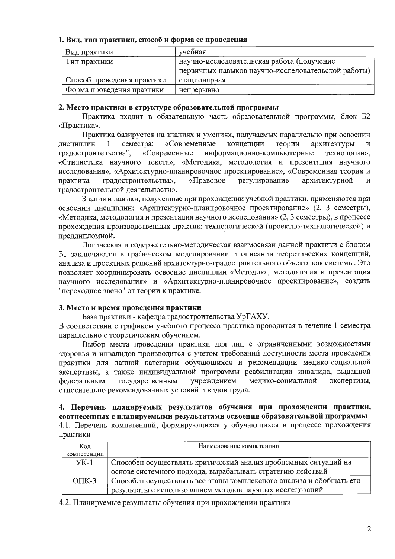## 1. Вид, тип практики, способ и форма ее проведения

| Вид практики               | учебная                                            |  |  |
|----------------------------|----------------------------------------------------|--|--|
| Тип практики               | научно-исследовательская работа (получение         |  |  |
|                            | первичных навыков научно-исследовательской работы) |  |  |
| Способ проведения практики | стационарная                                       |  |  |
| Форма проведения практики  | непрерывно                                         |  |  |

# 2. Место практики в структуре образовательной программы

Практика входит в обязательную часть образовательной программы, блок Б2 «Практика».

Практика базируется на знаниях и умениях, получаемых параллельно при освоении семестра: «Современные концепции дисциплин  $\mathbf{1}$ теории архитектуры градостроительства", «Современные информационно-компьютерные технологии», «Стилистика научного текста», «Методика, методология и презентация научного исследования», «Архитектурно-планировочное проектирование», «Современная теория и градостроительства», «Правовое регулирование архитектурной практика  $\mathbf H$ градостроительной деятельности».

Знания и навыки, полученные при прохождении учебной практики, применяются при освоении дисциплин: «Архитектурно-планировочное проектирование» (2, 3 семестры), «Методика, методология и презентация научного исследования» (2, 3 семестры), в процессе прохождения производственных практик: технологической (проектно-технологической) и преддипломной.

Логическая и содержательно-методическая взаимосвязи данной практики с блоком Б1 заключаются в графическом моделировании и описании теоретических концепций, анализа и проектных решений архитектурно-градостроительного объекта как системы. Это позволяет координировать освоение дисциплин «Методика, методология и презентация научного исследования» и «Архитектурно-планировочное проектирование», создать "переходное звено" от теории к практике.

# 3. Место и время проведения практики

База практики - кафедра градостроительства УрГАХУ.

В соответствии с графиком учебного процесса практика проводится в течение 1 семестра параллельно с теоретическим обучением.

Выбор места проведения практики для лиц с ограниченными возможностями здоровья и инвалидов производится с учетом требований доступности места проведения практики для данной категории обучающихся и рекомендации медико-социальной экспертизы, а также индивидуальной программы реабилитации инвалида, выданной учреждением медико-социальной экспертизы, федеральным государственным относительно рекомендованных условий и видов труда.

# 4. Перечень планируемых результатов обучения при прохождении практики, соотнесенных с планируемыми результатами освоения образовательной программы 4.1. Перечень компетенций, формирующихся у обучающихся в процессе прохождения практики

| Код         | Наименование компетенции                                            |  |  |
|-------------|---------------------------------------------------------------------|--|--|
| компетенции |                                                                     |  |  |
| $YK-1$      | Способен осуществлять критический анализ проблемных ситуаций на     |  |  |
|             | основе системного подхода, вырабатывать стратегию действий          |  |  |
| $OIIK-3$    | Способен осуществлять все этапы комплексного анализа и обобщать его |  |  |
|             | результаты с использованием методов научных исследований            |  |  |

4.2. Планируемые результаты обучения при прохождении практики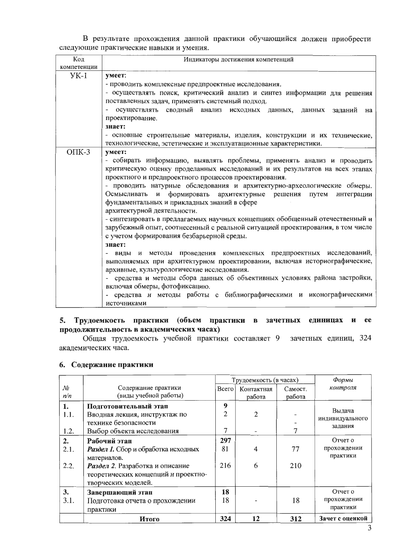В результате прохождения данной практики обучающийся должен приобрести следующие практические навыки и умения.

| Код<br>компетенции | Индикаторы достижения компетенций                                                                                               |  |  |  |  |  |
|--------------------|---------------------------------------------------------------------------------------------------------------------------------|--|--|--|--|--|
| $YK-1$             | умеет:                                                                                                                          |  |  |  |  |  |
|                    |                                                                                                                                 |  |  |  |  |  |
|                    | - проводить комплексные предпроектные исследования.<br>- осуществлять поиск, критический анализ и синтез информации для решения |  |  |  |  |  |
|                    |                                                                                                                                 |  |  |  |  |  |
|                    | поставленных задач, применять системный подход.<br>осуществлять сводный анализ исходных данных, данных заданий на               |  |  |  |  |  |
|                    | проектирование.                                                                                                                 |  |  |  |  |  |
|                    | знает:                                                                                                                          |  |  |  |  |  |
|                    | - основные строительные материалы, изделия, конструкции и их технические,                                                       |  |  |  |  |  |
|                    | технологические, эстетические и эксплуатационные характеристики.                                                                |  |  |  |  |  |
| $O\Pi K-3$         | умеет:                                                                                                                          |  |  |  |  |  |
|                    | - собирать информацию, выявлять проблемы, применять анализ и проводить                                                          |  |  |  |  |  |
|                    | критическую оценку проделанных исследований и их результатов на всех этапах                                                     |  |  |  |  |  |
|                    | проектного и предпроектного процессов проектирования.                                                                           |  |  |  |  |  |
|                    | - проводить натурные обследования и архитектурно-археологические обмеры.                                                        |  |  |  |  |  |
|                    | Осмысливать и формировать архитектурные решения путем<br>интеграции                                                             |  |  |  |  |  |
|                    | фундаментальных и прикладных знаний в сфере                                                                                     |  |  |  |  |  |
|                    | архитектурной деятельности.                                                                                                     |  |  |  |  |  |
|                    | - синтезировать в предлагаемых научных концепциях обобщенный отечественный и                                                    |  |  |  |  |  |
|                    | зарубежный опыт, соотнесенный с реальной ситуацией проектирования, в том числе                                                  |  |  |  |  |  |
|                    | с учетом формирования безбарьерной среды.                                                                                       |  |  |  |  |  |
|                    | знает:                                                                                                                          |  |  |  |  |  |
|                    | - виды и методы проведения комплексных предпроектных исследований,                                                              |  |  |  |  |  |
|                    | выполняемых при архитектурном проектировании, включая историографические,                                                       |  |  |  |  |  |
|                    | архивные, культурологические исследования.                                                                                      |  |  |  |  |  |
|                    | - средства и методы сбора данных об объективных условиях района застройки,                                                      |  |  |  |  |  |
|                    | включая обмеры, фотофиксацию.                                                                                                   |  |  |  |  |  |
|                    | - средства и методы работы с библиографическими и иконографическими                                                             |  |  |  |  |  |
|                    | источниками                                                                                                                     |  |  |  |  |  |

# 5. Трудоемкость практики (объем практики в зачетных единицах и ее продолжительность в академических часах)

Общая трудоемкость учебной практики составляет 9 зачетных единиц, 324 академических часа.

# 6. Содержание практики

|      |                                     | Трудоемкость (в часах) |            | $\varphi$ ормы |                            |
|------|-------------------------------------|------------------------|------------|----------------|----------------------------|
| No   | Содержание практики                 | Всего                  | Контактная | Самост.        | контроля                   |
| n/n  | (виды учебной работы)               |                        | работа     | работа         |                            |
| 1.   | Подготовительный этап               | 9                      |            |                |                            |
| 1.1. | Вводная лекция, инструктаж по       | $\overline{c}$         | 2          |                | Выдача                     |
|      | технике безопасности                |                        |            |                | индивидуального<br>задания |
| 1.2. | Выбор объекта исследования          | 7                      |            |                |                            |
| 2.   | Рабочий этап                        | 297                    |            |                | Отчет о                    |
| 2.1. | Раздел 1. Сбор и обработка исходных | 81                     | 4          | 77             | прохождении                |
|      | материалов.                         |                        |            |                | практики                   |
| 2.2. | Раздел 2. Разработка и описание     | 216                    | 6          | 210            |                            |
|      | теоретических концепций и проектно- |                        |            |                |                            |
|      | творческих моделей.                 |                        |            |                |                            |
| 3.   | Завершающий этап                    | 18                     |            |                | Отчет о                    |
| 3.1. | Подготовка отчета о прохождении     | 18                     |            | 18             | прохождении                |
|      | практики                            |                        |            |                | практики                   |
|      | Итого                               | 324                    | 12         | 312            | Зачет с оценкой            |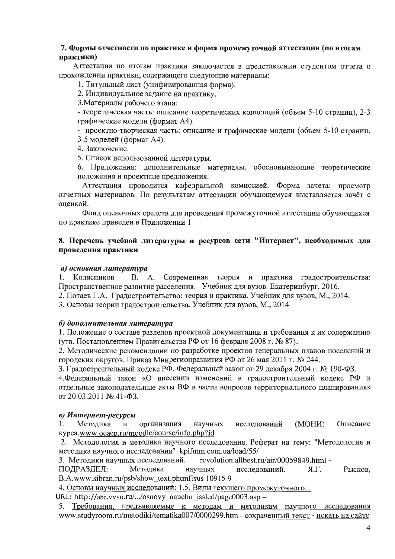# 7. Формы отчетности по практике и форма промежуточной аттестации (по итогам практики)

Аттестация по итогам практики заключается в представлении студентом отчета о прохождении практики, содержащего следующие материалы:

1. Титульный лист (унифицированная форма).

2. Индивидуальное задание на практику.

3. Материалы рабочего этапа:

- теоретическая часть: описание теоретических концепций (объем 5-10 страниц), 2-3 графические модели (формат А4).

- проектно-творческая часть: описание и графические модели (объем 5-10 страниц.

3-5 моделей (формат А4).

4. Заключение.

5. Список использованной литературы.

6. Приложения: дополнительные материалы, обосновывающие теоретические положения и проектные предложения.

Аттестация проводится кафедральной комиссией. Форма зачета: просмотр отчетных материалов. По результатам аттестации обучающемуся выставляется зачёт с оценкой.

Фонд оценочных средств для проведения промежуточной аттестации обучающихся по практике приведен в Приложении 1

# 8. Перечень учебной литературы и ресурсов сети "Интернет", необходимых для проведения практики

#### а) основная литература

1. Колясников В. А. Современная теория и практика градостроительства: Пространственное развитие расселения. Учебник для вузов. Екатеринбург, 2016.

2. Потаев Г.А. Градостроительство: теория и практика. Учебник для вузов, М., 2014.

3. Основы теории градостроительства. Учебник для вузов, М., 2014

#### б) дополнительная литература

1. Положение о составе разделов проектной документации и требования к их содержанию (утв. Постановлением Правительства РФ от 16 февраля 2008 г. № 87).

2. Методические рекомендации по разработке проектов генеральных планов поселений и городских округов. Приказ Минрегионразвития РФ от 26 мая 2011 г. № 244.

3. Градостроительный кодекс РФ. Федеральный закон от 29 декабря 2004 г. № 190-ФЗ.

4. Федеральный закон «О внесении изменений в градостроительный кодекс РФ и отдельные законодательные акты ВФ в части вопросов территориального планирования» от 20.03.2011 № 41-ФЗ.

# в) Интернет-ресурсы

Методика  $\mathbf{M}$ организация научных исследований (MOH<sub>I</sub>) Описание 1. kypca.www.oeaep.ru/moodle/course/info.php?id

2. Методология и методика научного исследования. Реферат на тему: "Методология и методика научного исследования" kpifmm.com.ua/load/55/

revolution.allbest.ru/air/00059849.html -3. Методики научных исследований.

ПОДРАЗДЕЛ: Методика научных исследований.  $T.R$ Рысков, B.A.www.sibran.ru/psb/show\_text.phtml?rus 10915 9

4. Основы научных исследований: 1.5. Виды текущего промежуточного...

URL: http://abc.vvsu.ru/.../osnovy\_nauchn\_issled/page0003.asp -

5. Требования, предъявляемые к методам и методикам научного исследования www.studyroom.ru/metodiki/tematika007/0000299.htm - сохраненный текст - искать на сайте